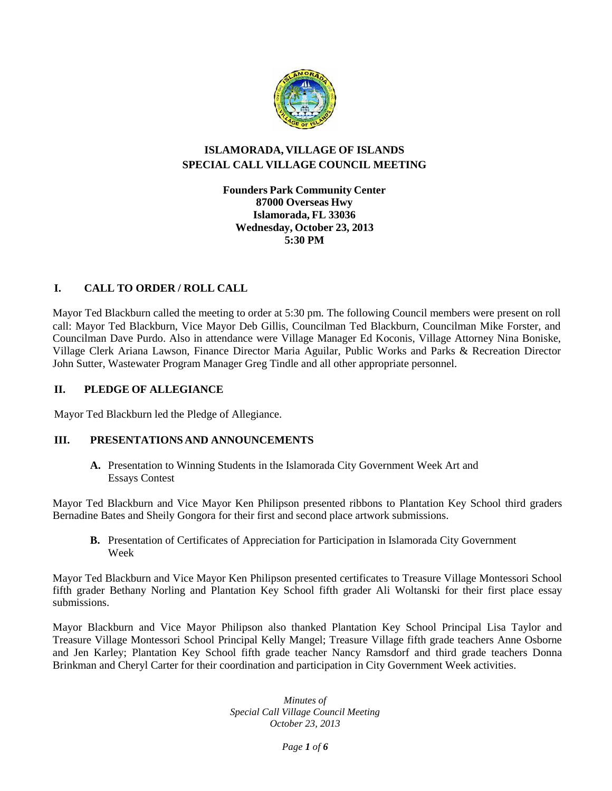

# **ISLAMORADA, VILLAGE OF ISLANDS SPECIAL CALL VILLAGE COUNCIL MEETING**

**Founders Park Community Center 87000 Overseas Hwy Islamorada, FL 33036 Wednesday, October 23,2013 5:30 PM**

# **I. CALL TO ORDER / ROLL CALL**

Mayor Ted Blackburn called the meeting to order at 5:30 pm. The following Council members were present on roll call: Mayor Ted Blackburn, Vice Mayor Deb Gillis, Councilman Ted Blackburn, Councilman Mike Forster, and Councilman Dave Purdo. Also in attendance were Village Manager Ed Koconis, Village Attorney Nina Boniske, Village Clerk Ariana Lawson, Finance Director Maria Aguilar, Public Works and Parks & Recreation Director John Sutter, Wastewater Program Manager Greg Tindle and all other appropriate personnel.

# **II. PLEDGE OF ALLEGIANCE**

Mayor Ted Blackburn led the Pledge of Allegiance.

# **III. PRESENTATIONS AND ANNOUNCEMENTS**

**A.** Presentation to Winning Students in the Islamorada City Government Week Art and Essays Contest

Mayor Ted Blackburn and Vice Mayor Ken Philipson presented ribbons to Plantation Key School third graders Bernadine Bates and Sheily Gongora for their first and second place artwork submissions.

**B.** Presentation of Certificates of Appreciation for Participation in Islamorada City Government Week

Mayor Ted Blackburn and Vice Mayor Ken Philipson presented certificates to Treasure Village Montessori School fifth grader Bethany Norling and Plantation Key School fifth grader Ali Woltanski for their first place essay submissions.

Mayor Blackburn and Vice Mayor Philipson also thanked Plantation Key School Principal Lisa Taylor and Treasure Village Montessori School Principal Kelly Mangel; Treasure Village fifth grade teachers Anne Osborne and Jen Karley; Plantation Key School fifth grade teacher Nancy Ramsdorf and third grade teachers Donna Brinkman and Cheryl Carter for their coordination and participation in City Government Week activities.

> *Minutes of Special Call Village Council Meeting October 23, 2013*

> > *Page 1 of 6*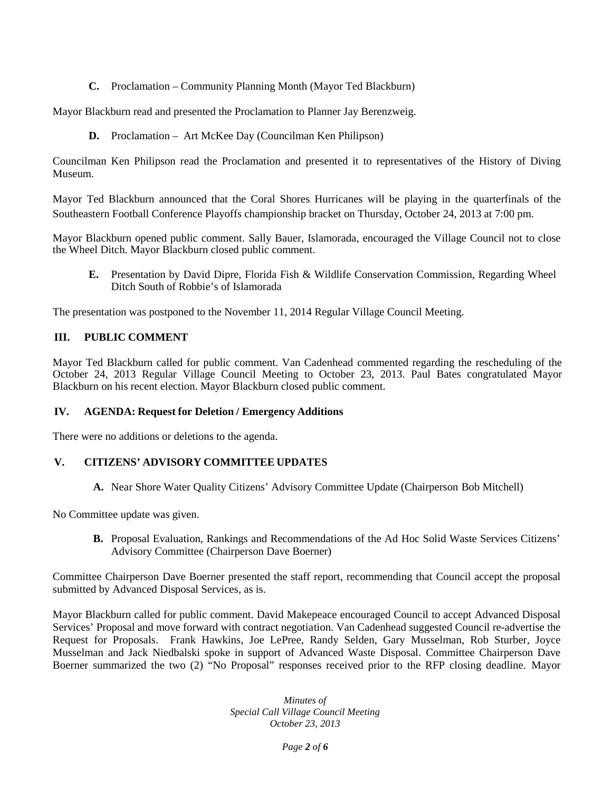**C.** Proclamation – Community Planning Month (Mayor Ted Blackburn)

Mayor Blackburn read and presented the Proclamation to Planner Jay Berenzweig.

**D.** Proclamation – Art McKee Day (Councilman Ken Philipson)

Councilman Ken Philipson read the Proclamation and presented it to representatives of the History of Diving Museum.

Mayor Ted Blackburn announced that the Coral Shores Hurricanes will be playing in the quarterfinals of the Southeastern Football Conference Playoffs championship bracket on Thursday, October 24, 2013 at 7:00 pm.

Mayor Blackburn opened public comment. Sally Bauer, Islamorada, encouraged the Village Council not to close the Wheel Ditch. Mayor Blackburn closed public comment.

**E.** Presentation by David Dipre, Florida Fish & Wildlife Conservation Commission, Regarding Wheel Ditch South of Robbie's of Islamorada

The presentation was postponed to the November 11, 2014 Regular Village Council Meeting.

### **III. PUBLIC COMMENT**

Mayor Ted Blackburn called for public comment. Van Cadenhead commented regarding the rescheduling of the October 24, 2013 Regular Village Council Meeting to October 23, 2013. Paul Bates congratulated Mayor Blackburn on his recent election. Mayor Blackburn closed public comment.

#### **IV. AGENDA: Request for Deletion / Emergency Additions**

There were no additions or deletions to the agenda.

# **V. CITIZENS' ADVISORY COMMITTEE UPDATES**

**A.** Near Shore Water Quality Citizens' Advisory Committee Update (Chairperson Bob Mitchell)

No Committee update was given.

**B.** Proposal Evaluation, Rankings and Recommendations of the Ad Hoc Solid Waste Services Citizens' Advisory Committee (Chairperson Dave Boerner)

Committee Chairperson Dave Boerner presented the staff report, recommending that Council accept the proposal submitted by Advanced Disposal Services, as is.

Mayor Blackburn called for public comment. David Makepeace encouraged Council to accept Advanced Disposal Services' Proposal and move forward with contract negotiation. Van Cadenhead suggested Council re-advertise the Request for Proposals. Frank Hawkins, Joe LePree, Randy Selden, Gary Musselman, Rob Sturber, Joyce Musselman and Jack Niedbalski spoke in support of Advanced Waste Disposal. Committee Chairperson Dave Boerner summarized the two (2) "No Proposal" responses received prior to the RFP closing deadline. Mayor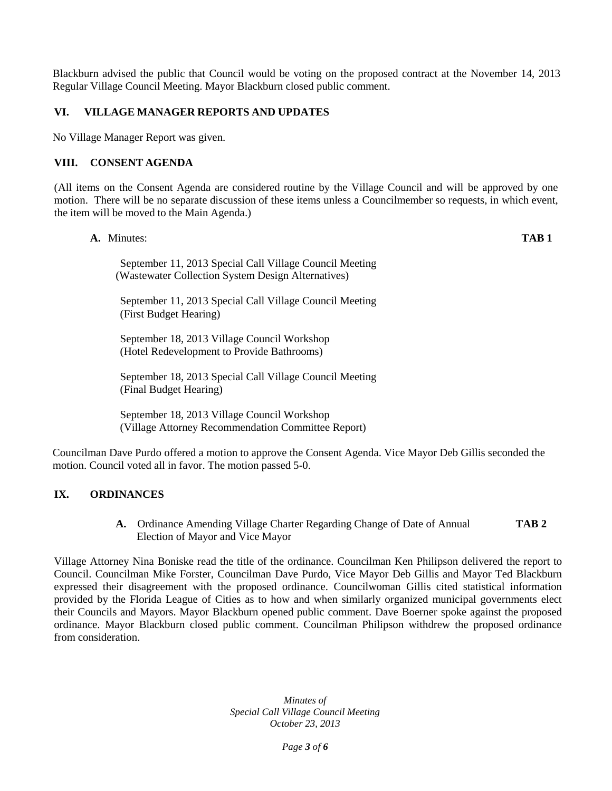Blackburn advised the public that Council would be voting on the proposed contract at the November 14, 2013 Regular Village Council Meeting. Mayor Blackburn closed public comment.

### **VI. VILLAGE MANAGER REPORTS AND UPDATES**

No Village Manager Report was given.

#### **VIII. CONSENT AGENDA**

(All items on the Consent Agenda are considered routine by the Village Council and will be approved by one motion. There will be no separate discussion of these items unless a Councilmember so requests, in which event, the item will be moved to the Main Agenda.)

**A.** Minutes: **TAB 1**

September 11, 2013 Special Call Village Council Meeting (Wastewater Collection System Design Alternatives)

September 11, 2013 Special Call Village Council Meeting (First Budget Hearing)

September 18, 2013 Village Council Workshop (Hotel Redevelopment to Provide Bathrooms)

September 18, 2013 Special Call Village Council Meeting (Final Budget Hearing)

September 18, 2013 Village Council Workshop (Village Attorney Recommendation Committee Report)

Councilman Dave Purdo offered a motion to approve the Consent Agenda. Vice Mayor Deb Gillis seconded the motion. Council voted all in favor. The motion passed 5-0.

# **IX. ORDINANCES**

**A.** Ordinance Amending Village Charter Regarding Change of Date of Annual **TAB 2** Election of Mayor and Vice Mayor

Village Attorney Nina Boniske read the title of the ordinance. Councilman Ken Philipson delivered the report to Council. Councilman Mike Forster, Councilman Dave Purdo, Vice Mayor Deb Gillis and Mayor Ted Blackburn expressed their disagreement with the proposed ordinance. Councilwoman Gillis cited statistical information provided by the Florida League of Cities as to how and when similarly organized municipal governments elect their Councils and Mayors. Mayor Blackburn opened public comment. Dave Boerner spoke against the proposed ordinance. Mayor Blackburn closed public comment. Councilman Philipson withdrew the proposed ordinance from consideration.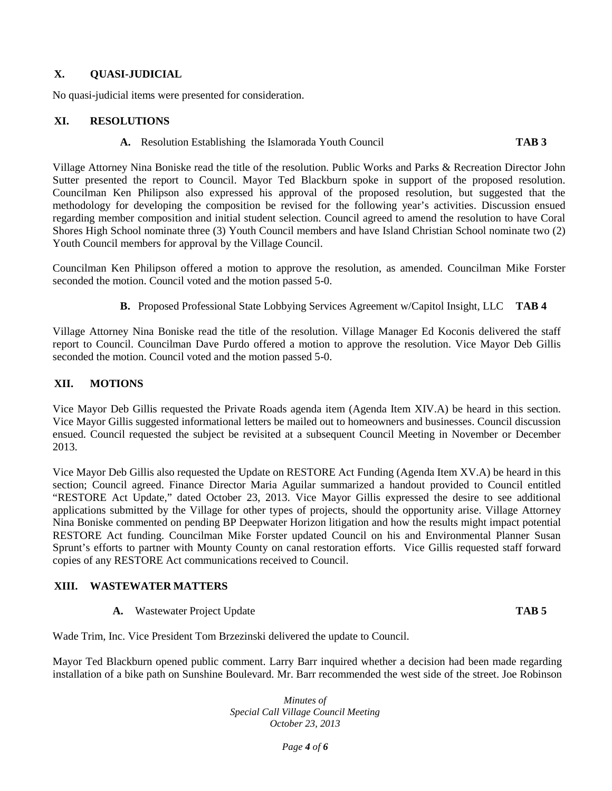# **X. QUASI-JUDICIAL**

No quasi-judicial items were presented for consideration.

#### **XI. RESOLUTIONS**

**A.** Resolution Establishing the Islamorada Youth Council **TAB 3**

Village Attorney Nina Boniske read the title of the resolution. Public Works and Parks & Recreation Director John Sutter presented the report to Council. Mayor Ted Blackburn spoke in support of the proposed resolution. Councilman Ken Philipson also expressed his approval of the proposed resolution, but suggested that the methodology for developing the composition be revised for the following year's activities. Discussion ensued regarding member composition and initial student selection. Council agreed to amend the resolution to have Coral Shores High School nominate three (3) Youth Council members and have Island Christian School nominate two (2) Youth Council members for approval by the Village Council.

Councilman Ken Philipson offered a motion to approve the resolution, as amended. Councilman Mike Forster seconded the motion. Council voted and the motion passed 5-0.

**B.** Proposed Professional State Lobbying Services Agreement w/Capitol Insight, LLC **TAB 4**

Village Attorney Nina Boniske read the title of the resolution. Village Manager Ed Koconis delivered the staff report to Council. Councilman Dave Purdo offered a motion to approve the resolution. Vice Mayor Deb Gillis seconded the motion. Council voted and the motion passed 5-0.

### **XII. MOTIONS**

Vice Mayor Deb Gillis requested the Private Roads agenda item (Agenda Item XIV.A) be heard in this section. Vice Mayor Gillis suggested informational letters be mailed out to homeowners and businesses. Council discussion ensued. Council requested the subject be revisited at a subsequent Council Meeting in November or December 2013.

Vice Mayor Deb Gillis also requested the Update on RESTORE Act Funding (Agenda Item XV.A) be heard in this section; Council agreed. Finance Director Maria Aguilar summarized a handout provided to Council entitled "RESTORE Act Update," dated October 23, 2013. Vice Mayor Gillis expressed the desire to see additional applications submitted by the Village for other types of projects, should the opportunity arise. Village Attorney Nina Boniske commented on pending BP Deepwater Horizon litigation and how the results might impact potential RESTORE Act funding. Councilman Mike Forster updated Council on his and Environmental Planner Susan Sprunt's efforts to partner with Mounty County on canal restoration efforts. Vice Gillis requested staff forward copies of any RESTORE Act communications received to Council.

#### **XIII. WASTEWATER MATTERS**

**A.** Wastewater Project Update **TAB 5**

Wade Trim, Inc. Vice President Tom Brzezinski delivered the update to Council.

Mayor Ted Blackburn opened public comment. Larry Barr inquired whether a decision had been made regarding installation of a bike path on Sunshine Boulevard. Mr. Barr recommended the west side of the street. Joe Robinson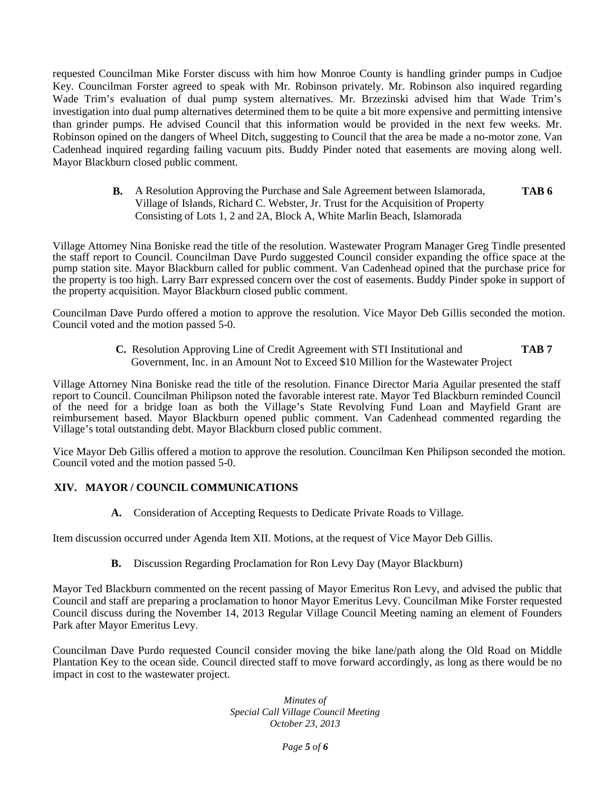requested Councilman Mike Forster discuss with him how Monroe County is handling grinder pumps in Cudjoe Key. Councilman Forster agreed to speak with Mr. Robinson privately. Mr. Robinson also inquired regarding Wade Trim's evaluation of dual pump system alternatives. Mr. Brzezinski advised him that Wade Trim's investigation into dual pump alternatives determined them to be quite a bit more expensive and permitting intensive than grinder pumps. He advised Council that this information would be provided in the next few weeks. Mr. Robinson opined on the dangers of Wheel Ditch, suggesting to Council that the area be made a no-motor zone. Van Cadenhead inquired regarding failing vacuum pits. Buddy Pinder noted that easements are moving along well. Mayor Blackburn closed public comment.

> **B.** A Resolution Approving the Purchase and Sale Agreement between Islamorada, Village of Islands, Richard C. Webster, Jr. Trust for the Acquisition of Property Consisting of Lots 1, 2 and 2A, Block A, White Marlin Beach, Islamorada **TAB 6**

Village Attorney Nina Boniske read the title of the resolution. Wastewater Program Manager Greg Tindle presented the staff report to Council. Councilman Dave Purdo suggested Council consider expanding the office space at the pump station site. Mayor Blackburn called for public comment. Van Cadenhead opined that the purchase price for the property is too high. Larry Barr expressed concern over the cost of easements. Buddy Pinder spoke in support of the property acquisition. Mayor Blackburn closed public comment.

Councilman Dave Purdo offered a motion to approve the resolution. Vice Mayor Deb Gillis seconded the motion. Council voted and the motion passed 5-0.

> **C.** Resolution Approving Line of Credit Agreement with STI Institutional and **TAB 7** Government, Inc. in an Amount Not to Exceed \$10 Million for the Wastewater Project

Village Attorney Nina Boniske read the title of the resolution. Finance Director Maria Aguilar presented the staff report to Council. Councilman Philipson noted the favorable interest rate. Mayor Ted Blackburn reminded Council of the need for a bridge loan as both the Village's State Revolving Fund Loan and Mayfield Grant are reimbursement based. Mayor Blackburn opened public comment. Van Cadenhead commented regarding the Village's total outstanding debt. Mayor Blackburn closed public comment.

Vice Mayor Deb Gillis offered a motion to approve the resolution. Councilman Ken Philipson seconded the motion. Council voted and the motion passed 5-0.

# **XIV. MAYOR / COUNCIL COMMUNICATIONS**

**A.** Consideration of Accepting Requests to Dedicate Private Roads to Village.

Item discussion occurred under Agenda Item XII. Motions, at the request of Vice Mayor Deb Gillis.

**B.** Discussion Regarding Proclamation for Ron Levy Day (Mayor Blackburn)

Mayor Ted Blackburn commented on the recent passing of Mayor Emeritus Ron Levy, and advised the public that Council and staff are preparing a proclamation to honor Mayor Emeritus Levy. Councilman Mike Forster requested Council discuss during the November 14, 2013 Regular Village Council Meeting naming an element of Founders Park after Mayor Emeritus Levy.

Councilman Dave Purdo requested Council consider moving the bike lane/path along the Old Road on Middle Plantation Key to the ocean side. Council directed staff to move forward accordingly, as long as there would be no impact in cost to the wastewater project.